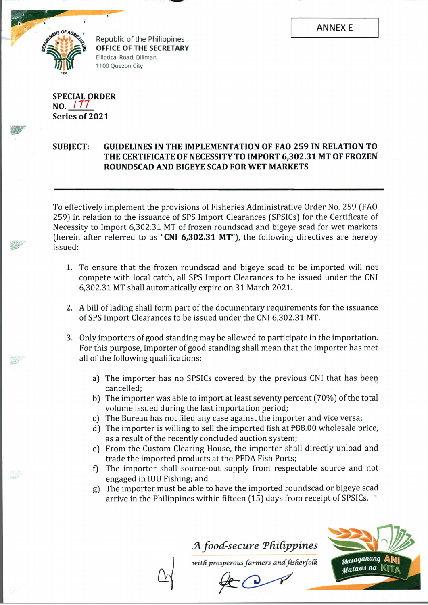ANNEX E



Republic of the Philippines **OFFICE OF THE SECRETARY** Elliptical Road, Diliman 1100 Quezon City

**SPECIAL ORDER no.**  $177$ **Series of 2021**

■ B M P\* ■ V

## **SUBJECT: GUIDELINES IN THE IMPLEMENTATION OF FAO 259 IN RELATION TO THE CERTIFICATE OF NECESSITY TO IMPORT 6,302.31 MT OF FROZEN ROUNDSCAD AND BIGEYE SCAD FOR WET MARKETS**

To effectively implement the provisions of Fisheries Administrative Order No. 259 (FAO 259) in relation to the issuance of SPS Import Clearances (SPSICs) for the Certificate of Necessity to Import 6,302.31 MT of frozen roundscad and bigeye scad for wet markets (herein after referred to as **"CNI 6,302.31 MT"),** the following directives are hereby issued:

- 1. To ensure that the frozen roundscad and bigeye scad to be imported will not compete with local catch, all SPS Import Clearances to be issued under the CNI 6,302.31 MT shall automatically expire on 31 March 2021.
- 2. A bill of lading shall form part of the documentary requirements for the issuance of SPS Import Clearances to be issued under the CNI 6,302.31 MT.
- 3. Only importers of good standing may be allowed to participate in the importation. For this purpose, importer of good standing shall mean that the importer has met all of the following qualifications:
	- a) The importer has no SPSICs covered by the previous CNI that has been cancelled;
	- b) The importer was able to import at least seventy percent (70%) of the total volume issued during the last importation period;
	- c) The Bureau has not filed any case against the importer and vice versa;
	- d) The importer is willing to sell the imported fish at P88.00 wholesale price, as a result of the recently concluded auction system;
	- e) From the Custom Clearing House, the importer shall directly unload and trade the imported products at the PFDA Fish Ports;
	- f) The importer shall source-out supply from respectable source and not engaged in IUU Fishing; and
	- g) The importer must be able to have the imported roundscad or bigeye scad arrive in the Philippines within fifteen (15) days from receipt of SPSICs. '

*fAfoocC-secure TfiiCijfpines*



*-wilti prosperous farmers andftsfierfoCk*

 $\Gamma$